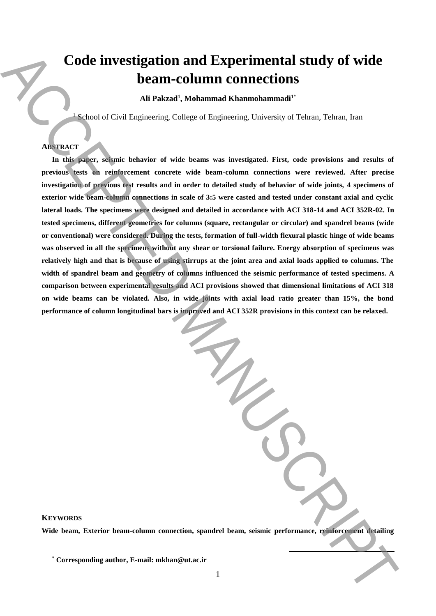# **Code investigation and Experimental study of wide beam-column connections**

**Ali Pakzad<sup>1</sup> , Mohammad Khanmohammadi<sup>1</sup>**\*

 $1$  School of Civil Engineering, College of Engineering, University of Tehran, Tehran, Iran

## **ABSTRACT**

**In this paper, seismic behavior of wide beams was investigated. First, code provisions and results of previous tests on reinforcement concrete wide beam-column connections were reviewed. After precise investigation of previous test results and in order to detailed study of behavior of wide joints, 4 specimens of exterior wide beam-column connections in scale of 3:5 were casted and tested under constant axial and cyclic lateral loads. The specimens were designed and detailed in accordance with ACI 318-14 and ACI 352R-02. In tested specimens, different geometries for columns (square, rectangular or circular) and spandrel beams (wide or conventional) were considered. During the tests, formation of full-width flexural plastic hinge of wide beams was observed in all the specimens without any shear or torsional failure. Energy absorption of specimens was relatively high and that is because of using stirrups at the joint area and axial loads applied to columns. The width of spandrel beam and geometry of columns influenced the seismic performance of tested specimens. A comparison between experimental results and ACI provisions showed that dimensional limitations of ACI 318 on wide beams can be violated. Also, in wide joints with axial load ratio greater than 15%, the bond performance of column longitudinal bars is improved and ACI 352R provisions in this context can be relaxed.** Corresponding continues the state of the corresponding and the corresponding and the corresponding and the corresponding and the corresponding and the corresponding and the corresponding and the corresponding the correspon

**KEYWORDS**

**Wide beam, Exterior beam-column connection, spandrel beam, seismic performance, reinforcement detailing**

**.**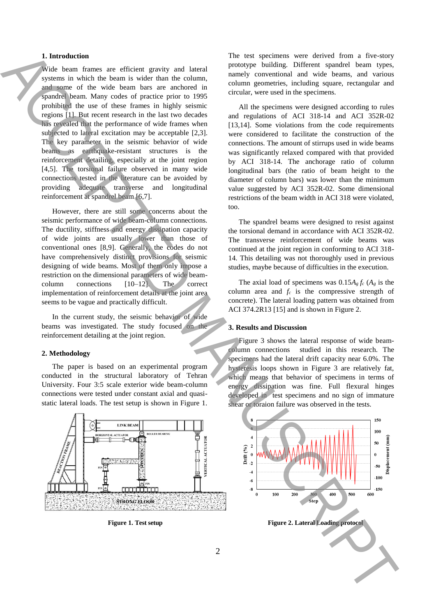## **1. Introduction**

Wide beam frames are efficient gravity and lateral systems in which the beam is wider than the column, and some of the wide beam bars are anchored in spandrel beam. Many codes of practice prior to 1995 prohibited the use of these frames in highly seismic regions [1]. But recent research in the last two decades has revealed that the performance of wide frames when subjected to lateral excitation may be acceptable [2,3]. The key parameter in the seismic behavior of wide beams as earthquake-resistant structures is the reinforcement detailing, especially at the joint region [4,5]. The torsional failure observed in many wide connections tested in the literature can be avoided by providing adequate transverse and longitudinal reinforcement at spandrel beam [6,7]. **Figure 1. The figure is the control and the setup of the setup of the setup of the setup of the setup of the setup of the setup of the setup of the setup of the setup of the setup of the setup of the setup of the set** 

However, there are still some concerns about the seismic performance of wide beam-column connections. The ductility, stiffness and energy dissipation capacity of wide joints are usually lower than those of conventional ones [8,9]. Generally, the codes do not have comprehensively distinct provisions for seismic designing of wide beams. Most of them only impose a restriction on the dimensional parameters of wide beamcolumn connections [10–12]. The correct implementation of reinforcement details at the joint area seems to be vague and practically difficult.

In the current study, the seismic behavior of wide beams was investigated. The study focused on the reinforcement detailing at the joint region.

#### **2. Methodology**

The paper is based on an experimental program conducted in the structural laboratory of Tehran University. Four 3:5 scale exterior wide beam-column connections were tested under constant axial and quasistatic lateral loads. The test setup is shown in Figure 1.



The test specimens were derived from a five-story prototype building. Different spandrel beam types, namely conventional and wide beams, and various column geometries, including square, rectangular and circular, were used in the specimens.

All the specimens were designed according to rules and regulations of ACI 318-14 and ACI 352R-02 [13,14]. Some violations from the code requirements were considered to facilitate the construction of the connections. The amount of stirrups used in wide beams was significantly relaxed compared with that provided by ACI 318-14. The anchorage ratio of column longitudinal bars (the ratio of beam height to the diameter of column bars) was lower than the minimum value suggested by ACI 352R-02. Some dimensional restrictions of the beam width in ACI 318 were violated, too.

The spandrel beams were designed to resist against the torsional demand in accordance with ACI 352R-02. The transverse reinforcement of wide beams was continued at the joint region in conforming to ACI 318- 14. This detailing was not thoroughly used in previous studies, maybe because of difficulties in the execution.

The axial load of specimens was  $0.15A<sub>g</sub> f<sub>c</sub> (A<sub>g</sub>$  is the column area and *f<sup>c</sup>* is the compressive strength of concrete). The lateral loading pattern was obtained from ACI 374.2R13 [15] and is shown in Figure 2.

#### **3. Results and Discussion**

Figure 3 shows the lateral response of wide beamcolumn connections studied in this research. The specimens had the lateral drift capacity near 6.0%. The hysteresis loops shown in Figure 3 are relatively fat, which means that behavior of specimens in terms of energy dissipation was fine. Full flexural hinges developed in test specimens and no sign of immature shear or toraion failure was observed in the tests.

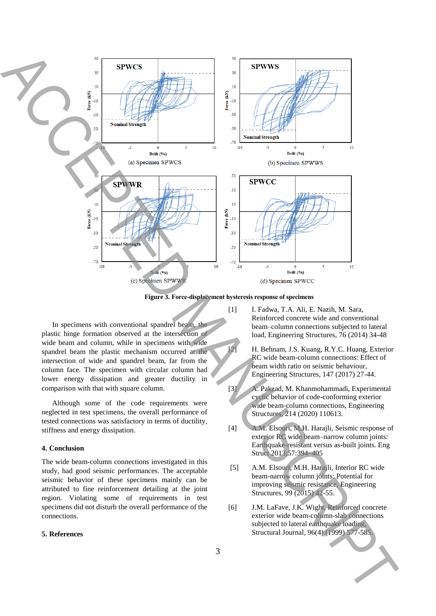

**Figure 3. Force‐displacement hysteresis response of specimens**

In specimens with conventional spandrel beam, the plastic hinge formation observed at the intersection of wide beam and column, while in specimens with wide spandrel beam the plastic mechanism occurred at the intersection of wide and spandrel beam, far from the column face. The specimen with circular column had lower energy dissipation and greater ductility in comparison with that with square column.

Although some of the code requirements were neglected in test specimens, the overall performance of tested connections was satisfactory in terms of ductility, stiffness and energy dissipation.

## **4. Conclusion**

The wide beam-column connections investigated in this study, had good seismic performances. The acceptable seismic behavior of these specimens mainly can be attributed to fine reinforcement detailing at the joint region. Violating some of requirements in test specimens did not disturb the overall performance of the connections.

### **5. References**

[1] I. Fadwa, T.A. Ali, E. Nazih, M. Sara, Reinforced concrete wide and conventional beam–column connections subjected to lateral load, Engineering Structures, 76 (2014) 34-48

[2] H. Behnam, J.S. Kuang, R.Y.C. Huang, Exterior RC wide beam-column connections: Effect of beam width ratio on seismic behaviour, Engineering Structures, 147 (2017) 27-44.

- [3] A. Pakzad, M. Khanmohammadi, Experimental cyclic behavior of code-conforming exterior wide beam-column connections, Engineering Structures, 214 (2020) 110613.
- [4] A.M. Elsouri, M.H. Harajli, Seismic response of exterior RC wide beam–narrow column joints: Earthquake-resistant versus as-built joints. Eng Struct 2013;57:394–405
- [5] A.M. Elsouri, M.H. Harajli, Interior RC wide beam-narrow column joints: Potential for improving seismic resistance, Engineering Structures, 99 (2015) 42-55.
- [6] J.M. LaFave, J.K. Wight, Reinforced concrete exterior wide beam-column-slab connections subjected to lateral earthquake loading,